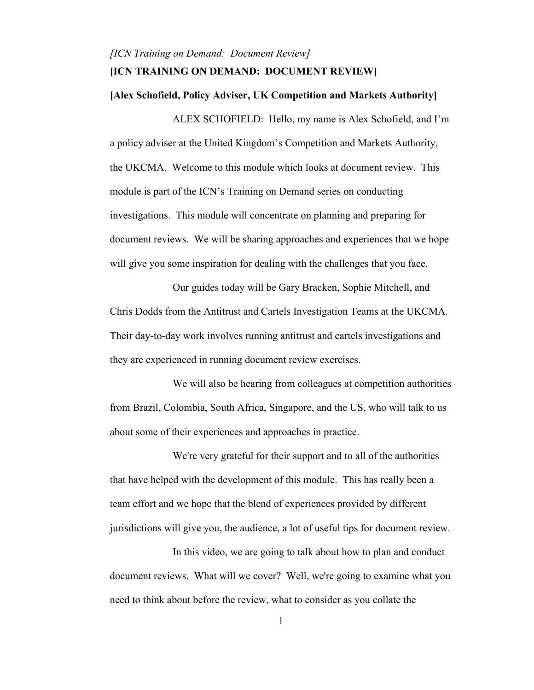## *[ICN Training on Demand: Document Review]* **[ICN TRAINING ON DEMAND: DOCUMENT REVIEW]**

#### **[Alex Schofield, Policy Adviser, UK Competition and Markets Authority]**

ALEX SCHOFIELD: Hello, my name is Alex Schofield, and I'm a policy adviser at the United Kingdom's Competition and Markets Authority, the UKCMA. Welcome to this module which looks at document review. This module is part of the ICN's Training on Demand series on conducting investigations. This module will concentrate on planning and preparing for document reviews. We will be sharing approaches and experiences that we hope will give you some inspiration for dealing with the challenges that you face.

Our guides today will be Gary Bracken, Sophie Mitchell, and Chris Dodds from the Antitrust and Cartels Investigation Teams at the UKCMA. Their day-to-day work involves running antitrust and cartels investigations and they are experienced in running document review exercises.

We will also be hearing from colleagues at competition authorities from Brazil, Colombia, South Africa, Singapore, and the US, who will talk to us about some of their experiences and approaches in practice.

We're very grateful for their support and to all of the authorities that have helped with the development of this module. This has really been a team effort and we hope that the blend of experiences provided by different jurisdictions will give you, the audience, a lot of useful tips for document review.

In this video, we are going to talk about how to plan and conduct document reviews. What will we cover? Well, we're going to examine what you need to think about before the review, what to consider as you collate the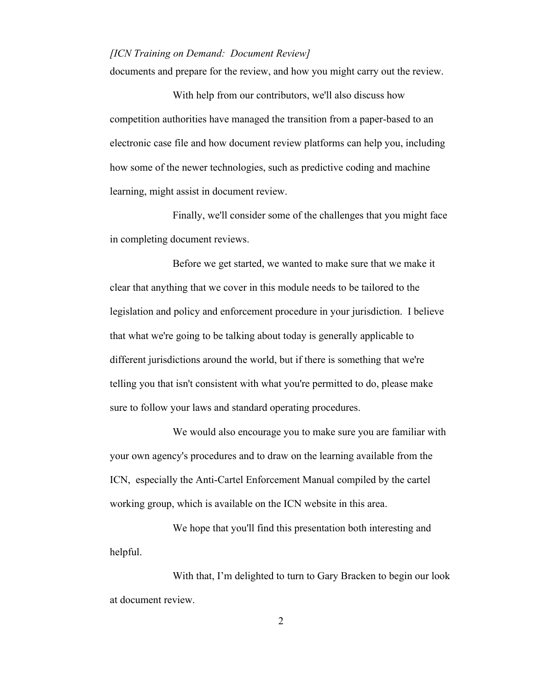documents and prepare for the review, and how you might carry out the review.

With help from our contributors, we'll also discuss how competition authorities have managed the transition from a paper-based to an electronic case file and how document review platforms can help you, including how some of the newer technologies, such as predictive coding and machine learning, might assist in document review.

Finally, we'll consider some of the challenges that you might face in completing document reviews.

Before we get started, we wanted to make sure that we make it clear that anything that we cover in this module needs to be tailored to the legislation and policy and enforcement procedure in your jurisdiction. I believe that what we're going to be talking about today is generally applicable to different jurisdictions around the world, but if there is something that we're telling you that isn't consistent with what you're permitted to do, please make sure to follow your laws and standard operating procedures.

We would also encourage you to make sure you are familiar with your own agency's procedures and to draw on the learning available from the ICN, especially the Anti-Cartel Enforcement Manual compiled by the cartel working group, which is available on the ICN website in this area.

We hope that you'll find this presentation both interesting and helpful.

With that, I'm delighted to turn to Gary Bracken to begin our look at document review.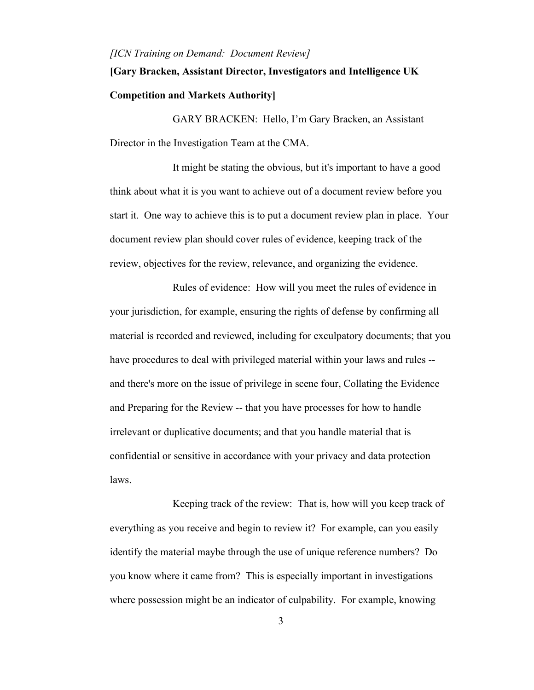# **[Gary Bracken, Assistant Director, Investigators and Intelligence UK Competition and Markets Authority]**

GARY BRACKEN: Hello, I'm Gary Bracken, an Assistant Director in the Investigation Team at the CMA.

It might be stating the obvious, but it's important to have a good think about what it is you want to achieve out of a document review before you start it. One way to achieve this is to put a document review plan in place. Your document review plan should cover rules of evidence, keeping track of the review, objectives for the review, relevance, and organizing the evidence.

Rules of evidence: How will you meet the rules of evidence in your jurisdiction, for example, ensuring the rights of defense by confirming all material is recorded and reviewed, including for exculpatory documents; that you have procedures to deal with privileged material within your laws and rules - and there's more on the issue of privilege in scene four, Collating the Evidence and Preparing for the Review -- that you have processes for how to handle irrelevant or duplicative documents; and that you handle material that is confidential or sensitive in accordance with your privacy and data protection laws.

Keeping track of the review: That is, how will you keep track of everything as you receive and begin to review it? For example, can you easily identify the material maybe through the use of unique reference numbers? Do you know where it came from? This is especially important in investigations where possession might be an indicator of culpability. For example, knowing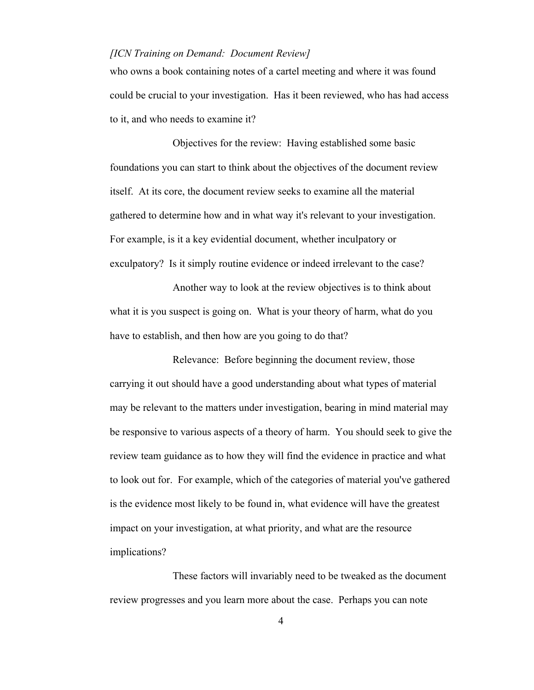who owns a book containing notes of a cartel meeting and where it was found could be crucial to your investigation. Has it been reviewed, who has had access to it, and who needs to examine it?

Objectives for the review: Having established some basic foundations you can start to think about the objectives of the document review itself. At its core, the document review seeks to examine all the material gathered to determine how and in what way it's relevant to your investigation. For example, is it a key evidential document, whether inculpatory or exculpatory? Is it simply routine evidence or indeed irrelevant to the case?

Another way to look at the review objectives is to think about what it is you suspect is going on. What is your theory of harm, what do you have to establish, and then how are you going to do that?

Relevance: Before beginning the document review, those carrying it out should have a good understanding about what types of material may be relevant to the matters under investigation, bearing in mind material may be responsive to various aspects of a theory of harm. You should seek to give the review team guidance as to how they will find the evidence in practice and what to look out for. For example, which of the categories of material you've gathered is the evidence most likely to be found in, what evidence will have the greatest impact on your investigation, at what priority, and what are the resource implications?

These factors will invariably need to be tweaked as the document review progresses and you learn more about the case. Perhaps you can note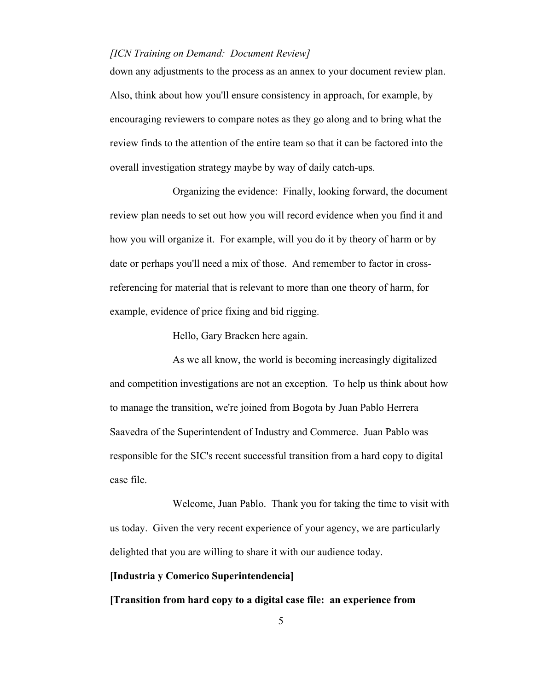down any adjustments to the process as an annex to your document review plan. Also, think about how you'll ensure consistency in approach, for example, by encouraging reviewers to compare notes as they go along and to bring what the review finds to the attention of the entire team so that it can be factored into the overall investigation strategy maybe by way of daily catch-ups.

Organizing the evidence: Finally, looking forward, the document review plan needs to set out how you will record evidence when you find it and how you will organize it. For example, will you do it by theory of harm or by date or perhaps you'll need a mix of those. And remember to factor in crossreferencing for material that is relevant to more than one theory of harm, for example, evidence of price fixing and bid rigging.

Hello, Gary Bracken here again.

As we all know, the world is becoming increasingly digitalized and competition investigations are not an exception. To help us think about how to manage the transition, we're joined from Bogota by Juan Pablo Herrera Saavedra of the Superintendent of Industry and Commerce. Juan Pablo was responsible for the SIC's recent successful transition from a hard copy to digital case file.

Welcome, Juan Pablo. Thank you for taking the time to visit with us today. Given the very recent experience of your agency, we are particularly delighted that you are willing to share it with our audience today.

#### **[Industria y Comerico Superintendencia]**

**[Transition from hard copy to a digital case file: an experience from**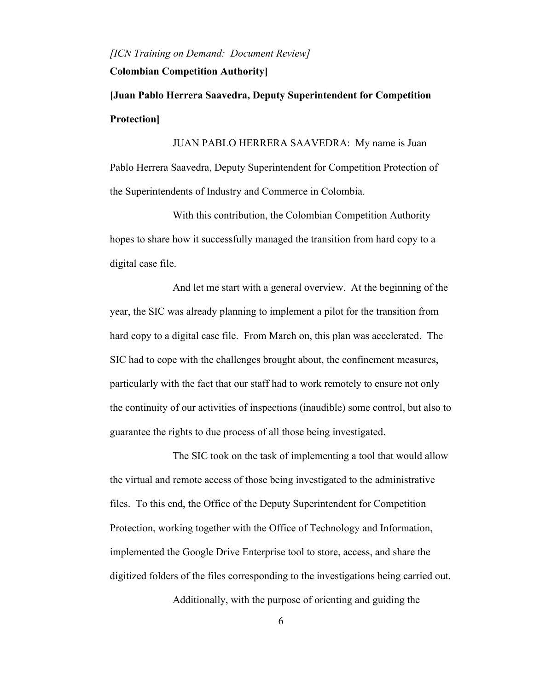## **Colombian Competition Authority]**

**[Juan Pablo Herrera Saavedra, Deputy Superintendent for Competition Protection]**

JUAN PABLO HERRERA SAAVEDRA: My name is Juan Pablo Herrera Saavedra, Deputy Superintendent for Competition Protection of the Superintendents of Industry and Commerce in Colombia.

With this contribution, the Colombian Competition Authority hopes to share how it successfully managed the transition from hard copy to a digital case file.

And let me start with a general overview. At the beginning of the year, the SIC was already planning to implement a pilot for the transition from hard copy to a digital case file. From March on, this plan was accelerated. The SIC had to cope with the challenges brought about, the confinement measures, particularly with the fact that our staff had to work remotely to ensure not only the continuity of our activities of inspections (inaudible) some control, but also to guarantee the rights to due process of all those being investigated.

The SIC took on the task of implementing a tool that would allow the virtual and remote access of those being investigated to the administrative files. To this end, the Office of the Deputy Superintendent for Competition Protection, working together with the Office of Technology and Information, implemented the Google Drive Enterprise tool to store, access, and share the digitized folders of the files corresponding to the investigations being carried out.

Additionally, with the purpose of orienting and guiding the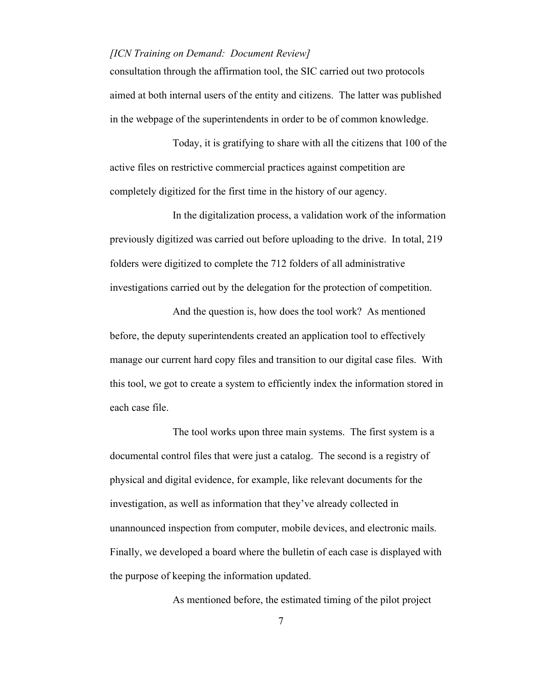consultation through the affirmation tool, the SIC carried out two protocols aimed at both internal users of the entity and citizens. The latter was published in the webpage of the superintendents in order to be of common knowledge.

Today, it is gratifying to share with all the citizens that 100 of the active files on restrictive commercial practices against competition are completely digitized for the first time in the history of our agency.

In the digitalization process, a validation work of the information previously digitized was carried out before uploading to the drive. In total, 219 folders were digitized to complete the 712 folders of all administrative investigations carried out by the delegation for the protection of competition.

And the question is, how does the tool work? As mentioned before, the deputy superintendents created an application tool to effectively manage our current hard copy files and transition to our digital case files. With this tool, we got to create a system to efficiently index the information stored in each case file.

The tool works upon three main systems. The first system is a documental control files that were just a catalog. The second is a registry of physical and digital evidence, for example, like relevant documents for the investigation, as well as information that they've already collected in unannounced inspection from computer, mobile devices, and electronic mails. Finally, we developed a board where the bulletin of each case is displayed with the purpose of keeping the information updated.

As mentioned before, the estimated timing of the pilot project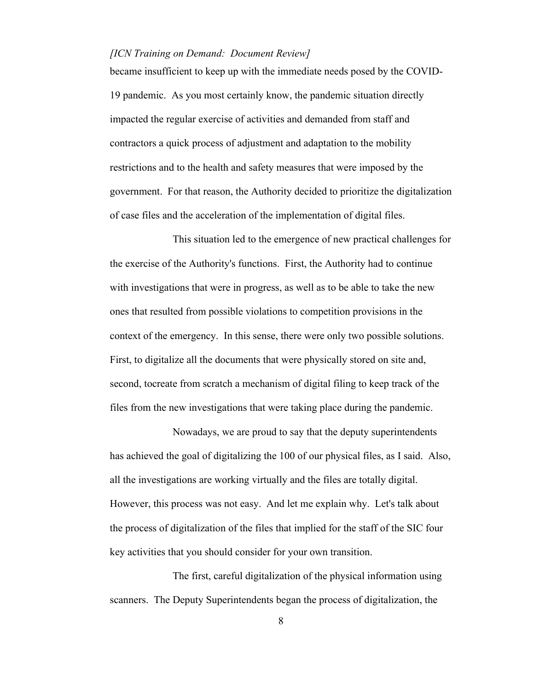became insufficient to keep up with the immediate needs posed by the COVID-19 pandemic. As you most certainly know, the pandemic situation directly impacted the regular exercise of activities and demanded from staff and contractors a quick process of adjustment and adaptation to the mobility restrictions and to the health and safety measures that were imposed by the government. For that reason, the Authority decided to prioritize the digitalization of case files and the acceleration of the implementation of digital files.

This situation led to the emergence of new practical challenges for the exercise of the Authority's functions. First, the Authority had to continue with investigations that were in progress, as well as to be able to take the new ones that resulted from possible violations to competition provisions in the context of the emergency. In this sense, there were only two possible solutions. First, to digitalize all the documents that were physically stored on site and, second, tocreate from scratch a mechanism of digital filing to keep track of the files from the new investigations that were taking place during the pandemic.

Nowadays, we are proud to say that the deputy superintendents has achieved the goal of digitalizing the 100 of our physical files, as I said. Also, all the investigations are working virtually and the files are totally digital. However, this process was not easy. And let me explain why. Let's talk about the process of digitalization of the files that implied for the staff of the SIC four key activities that you should consider for your own transition.

The first, careful digitalization of the physical information using scanners. The Deputy Superintendents began the process of digitalization, the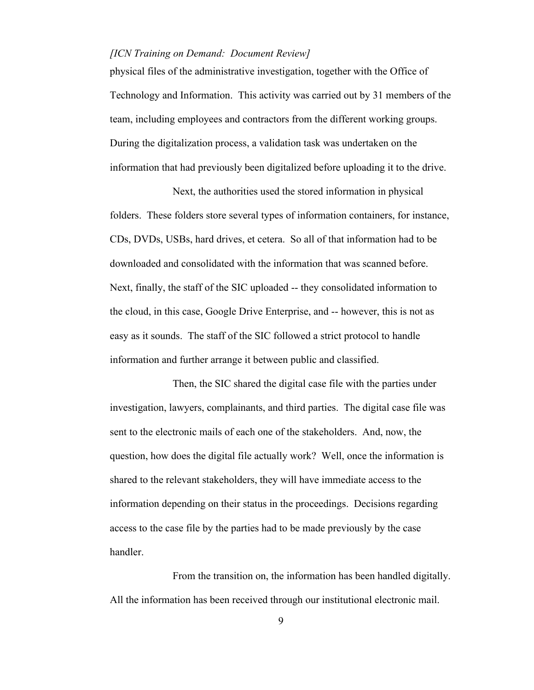physical files of the administrative investigation, together with the Office of Technology and Information. This activity was carried out by 31 members of the team, including employees and contractors from the different working groups. During the digitalization process, a validation task was undertaken on the information that had previously been digitalized before uploading it to the drive.

Next, the authorities used the stored information in physical folders. These folders store several types of information containers, for instance, CDs, DVDs, USBs, hard drives, et cetera. So all of that information had to be downloaded and consolidated with the information that was scanned before. Next, finally, the staff of the SIC uploaded -- they consolidated information to the cloud, in this case, Google Drive Enterprise, and -- however, this is not as easy as it sounds. The staff of the SIC followed a strict protocol to handle information and further arrange it between public and classified.

Then, the SIC shared the digital case file with the parties under investigation, lawyers, complainants, and third parties. The digital case file was sent to the electronic mails of each one of the stakeholders. And, now, the question, how does the digital file actually work? Well, once the information is shared to the relevant stakeholders, they will have immediate access to the information depending on their status in the proceedings. Decisions regarding access to the case file by the parties had to be made previously by the case handler.

From the transition on, the information has been handled digitally. All the information has been received through our institutional electronic mail.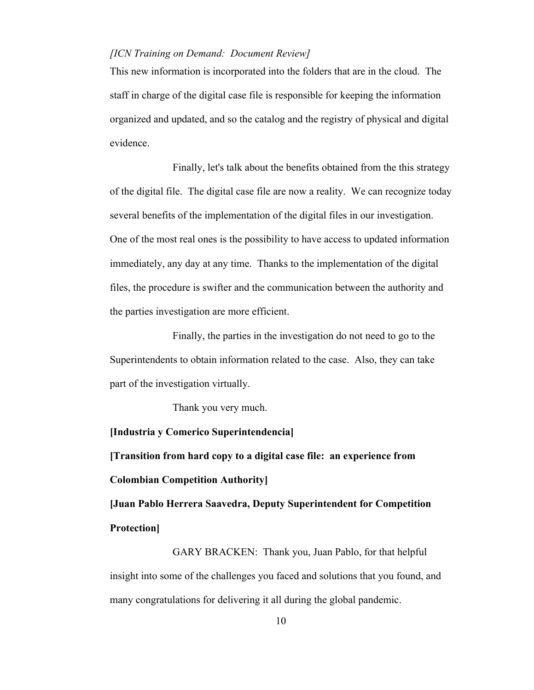This new information is incorporated into the folders that are in the cloud. The staff in charge of the digital case file is responsible for keeping the information organized and updated, and so the catalog and the registry of physical and digital evidence.

Finally, let's talk about the benefits obtained from the this strategy of the digital file. The digital case file are now a reality. We can recognize today several benefits of the implementation of the digital files in our investigation. One of the most real ones is the possibility to have access to updated information immediately, any day at any time. Thanks to the implementation of the digital files, the procedure is swifter and the communication between the authority and the parties investigation are more efficient.

Finally, the parties in the investigation do not need to go to the Superintendents to obtain information related to the case. Also, they can take part of the investigation virtually.

Thank you very much.

## **[Industria y Comerico Superintendencia]**

**[Transition from hard copy to a digital case file: an experience from Colombian Competition Authority]**

**[Juan Pablo Herrera Saavedra, Deputy Superintendent for Competition Protection]**

GARY BRACKEN: Thank you, Juan Pablo, for that helpful insight into some of the challenges you faced and solutions that you found, and many congratulations for delivering it all during the global pandemic.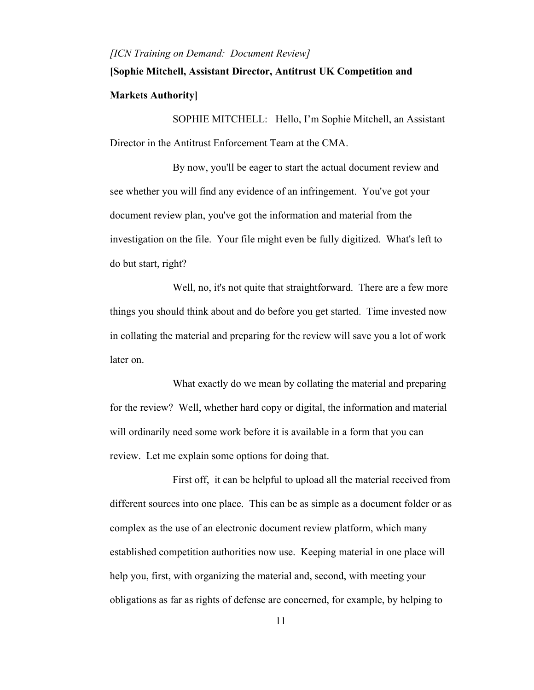# **[Sophie Mitchell, Assistant Director, Antitrust UK Competition and Markets Authority]**

SOPHIE MITCHELL: Hello, I'm Sophie Mitchell, an Assistant Director in the Antitrust Enforcement Team at the CMA.

By now, you'll be eager to start the actual document review and see whether you will find any evidence of an infringement. You've got your document review plan, you've got the information and material from the investigation on the file. Your file might even be fully digitized. What's left to do but start, right?

Well, no, it's not quite that straightforward. There are a few more things you should think about and do before you get started. Time invested now in collating the material and preparing for the review will save you a lot of work later on.

What exactly do we mean by collating the material and preparing for the review? Well, whether hard copy or digital, the information and material will ordinarily need some work before it is available in a form that you can review. Let me explain some options for doing that.

First off, it can be helpful to upload all the material received from different sources into one place. This can be as simple as a document folder or as complex as the use of an electronic document review platform, which many established competition authorities now use. Keeping material in one place will help you, first, with organizing the material and, second, with meeting your obligations as far as rights of defense are concerned, for example, by helping to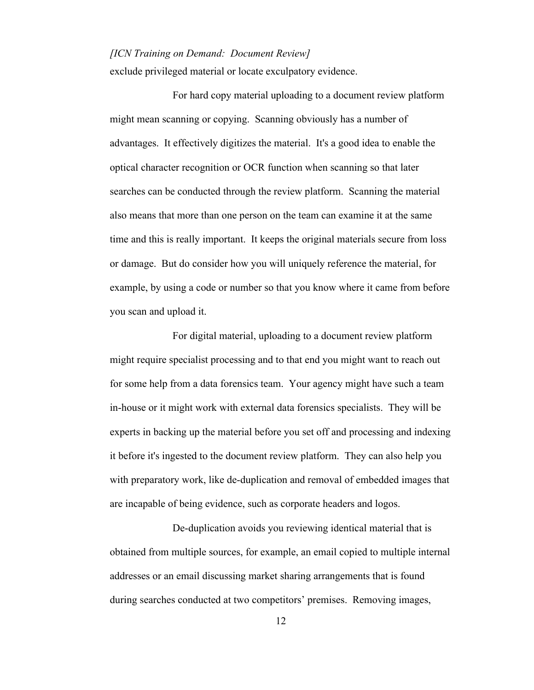exclude privileged material or locate exculpatory evidence.

For hard copy material uploading to a document review platform might mean scanning or copying. Scanning obviously has a number of advantages. It effectively digitizes the material. It's a good idea to enable the optical character recognition or OCR function when scanning so that later searches can be conducted through the review platform. Scanning the material also means that more than one person on the team can examine it at the same time and this is really important. It keeps the original materials secure from loss or damage. But do consider how you will uniquely reference the material, for example, by using a code or number so that you know where it came from before you scan and upload it.

For digital material, uploading to a document review platform might require specialist processing and to that end you might want to reach out for some help from a data forensics team. Your agency might have such a team in-house or it might work with external data forensics specialists. They will be experts in backing up the material before you set off and processing and indexing it before it's ingested to the document review platform. They can also help you with preparatory work, like de-duplication and removal of embedded images that are incapable of being evidence, such as corporate headers and logos.

De-duplication avoids you reviewing identical material that is obtained from multiple sources, for example, an email copied to multiple internal addresses or an email discussing market sharing arrangements that is found during searches conducted at two competitors' premises. Removing images,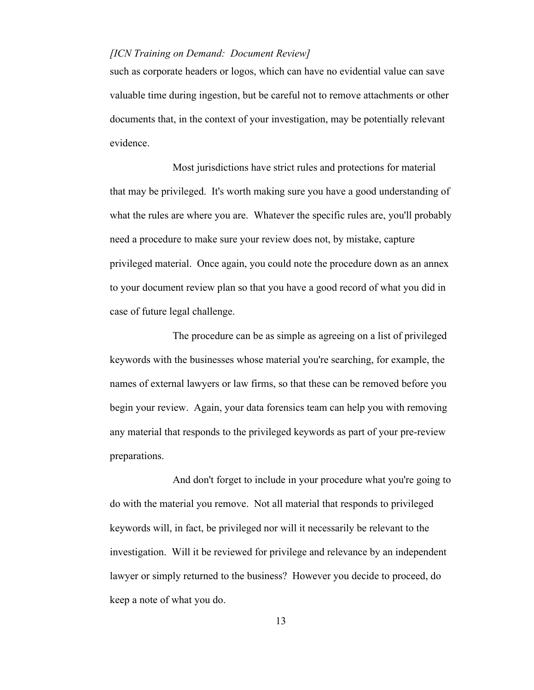such as corporate headers or logos, which can have no evidential value can save valuable time during ingestion, but be careful not to remove attachments or other documents that, in the context of your investigation, may be potentially relevant evidence.

Most jurisdictions have strict rules and protections for material that may be privileged. It's worth making sure you have a good understanding of what the rules are where you are. Whatever the specific rules are, you'll probably need a procedure to make sure your review does not, by mistake, capture privileged material. Once again, you could note the procedure down as an annex to your document review plan so that you have a good record of what you did in case of future legal challenge.

The procedure can be as simple as agreeing on a list of privileged keywords with the businesses whose material you're searching, for example, the names of external lawyers or law firms, so that these can be removed before you begin your review. Again, your data forensics team can help you with removing any material that responds to the privileged keywords as part of your pre-review preparations.

And don't forget to include in your procedure what you're going to do with the material you remove. Not all material that responds to privileged keywords will, in fact, be privileged nor will it necessarily be relevant to the investigation. Will it be reviewed for privilege and relevance by an independent lawyer or simply returned to the business? However you decide to proceed, do keep a note of what you do.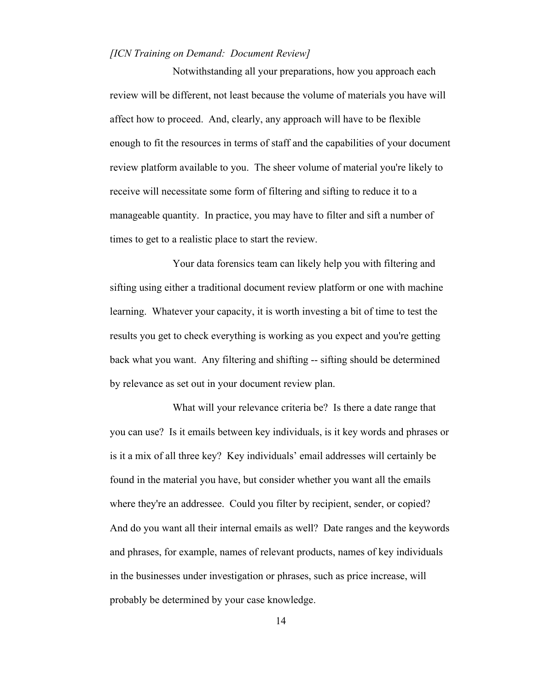Notwithstanding all your preparations, how you approach each review will be different, not least because the volume of materials you have will affect how to proceed. And, clearly, any approach will have to be flexible enough to fit the resources in terms of staff and the capabilities of your document review platform available to you. The sheer volume of material you're likely to receive will necessitate some form of filtering and sifting to reduce it to a manageable quantity. In practice, you may have to filter and sift a number of times to get to a realistic place to start the review.

Your data forensics team can likely help you with filtering and sifting using either a traditional document review platform or one with machine learning. Whatever your capacity, it is worth investing a bit of time to test the results you get to check everything is working as you expect and you're getting back what you want. Any filtering and shifting -- sifting should be determined by relevance as set out in your document review plan.

What will your relevance criteria be? Is there a date range that you can use? Is it emails between key individuals, is it key words and phrases or is it a mix of all three key? Key individuals' email addresses will certainly be found in the material you have, but consider whether you want all the emails where they're an addressee. Could you filter by recipient, sender, or copied? And do you want all their internal emails as well? Date ranges and the keywords and phrases, for example, names of relevant products, names of key individuals in the businesses under investigation or phrases, such as price increase, will probably be determined by your case knowledge.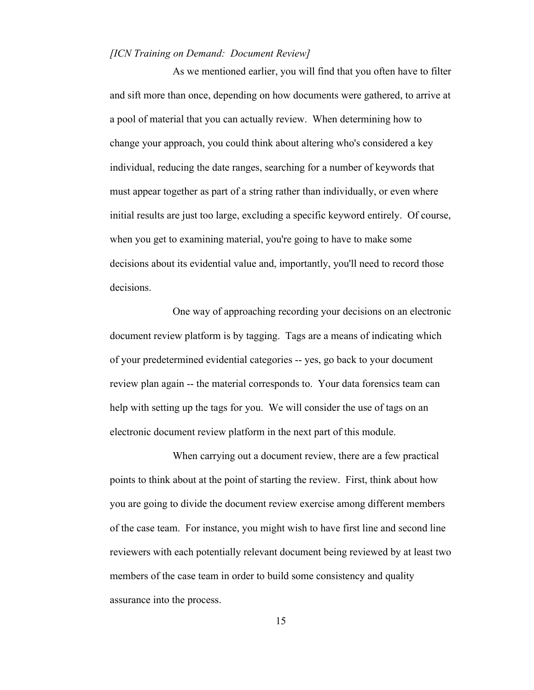As we mentioned earlier, you will find that you often have to filter and sift more than once, depending on how documents were gathered, to arrive at a pool of material that you can actually review. When determining how to change your approach, you could think about altering who's considered a key individual, reducing the date ranges, searching for a number of keywords that must appear together as part of a string rather than individually, or even where initial results are just too large, excluding a specific keyword entirely. Of course, when you get to examining material, you're going to have to make some decisions about its evidential value and, importantly, you'll need to record those decisions.

One way of approaching recording your decisions on an electronic document review platform is by tagging. Tags are a means of indicating which of your predetermined evidential categories -- yes, go back to your document review plan again -- the material corresponds to. Your data forensics team can help with setting up the tags for you. We will consider the use of tags on an electronic document review platform in the next part of this module.

When carrying out a document review, there are a few practical points to think about at the point of starting the review. First, think about how you are going to divide the document review exercise among different members of the case team. For instance, you might wish to have first line and second line reviewers with each potentially relevant document being reviewed by at least two members of the case team in order to build some consistency and quality assurance into the process.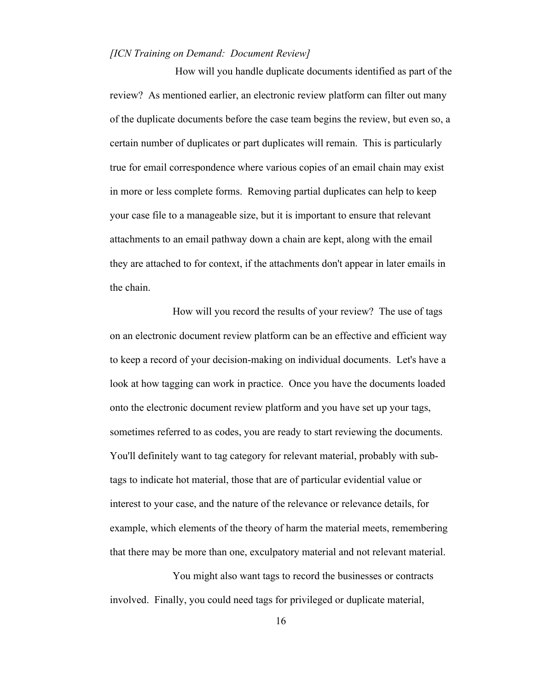How will you handle duplicate documents identified as part of the review? As mentioned earlier, an electronic review platform can filter out many of the duplicate documents before the case team begins the review, but even so, a certain number of duplicates or part duplicates will remain. This is particularly true for email correspondence where various copies of an email chain may exist in more or less complete forms. Removing partial duplicates can help to keep your case file to a manageable size, but it is important to ensure that relevant attachments to an email pathway down a chain are kept, along with the email they are attached to for context, if the attachments don't appear in later emails in the chain.

How will you record the results of your review? The use of tags on an electronic document review platform can be an effective and efficient way to keep a record of your decision-making on individual documents. Let's have a look at how tagging can work in practice. Once you have the documents loaded onto the electronic document review platform and you have set up your tags, sometimes referred to as codes, you are ready to start reviewing the documents. You'll definitely want to tag category for relevant material, probably with subtags to indicate hot material, those that are of particular evidential value or interest to your case, and the nature of the relevance or relevance details, for example, which elements of the theory of harm the material meets, remembering that there may be more than one, exculpatory material and not relevant material.

You might also want tags to record the businesses or contracts involved. Finally, you could need tags for privileged or duplicate material,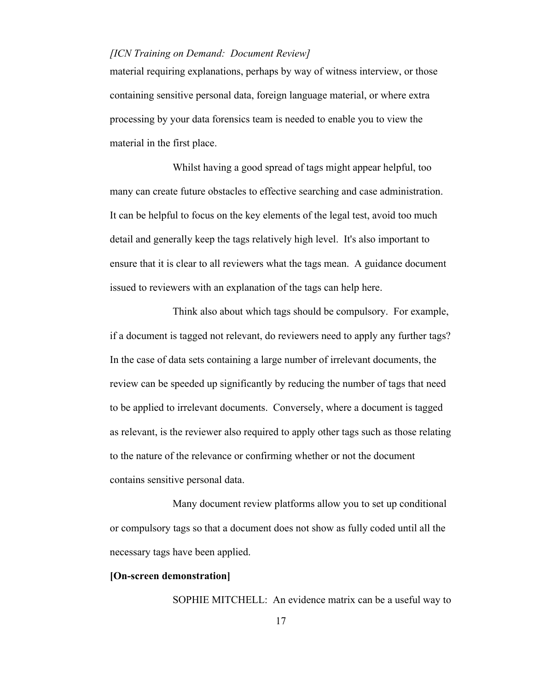material requiring explanations, perhaps by way of witness interview, or those containing sensitive personal data, foreign language material, or where extra processing by your data forensics team is needed to enable you to view the material in the first place.

Whilst having a good spread of tags might appear helpful, too many can create future obstacles to effective searching and case administration. It can be helpful to focus on the key elements of the legal test, avoid too much detail and generally keep the tags relatively high level. It's also important to ensure that it is clear to all reviewers what the tags mean. A guidance document issued to reviewers with an explanation of the tags can help here.

Think also about which tags should be compulsory. For example, if a document is tagged not relevant, do reviewers need to apply any further tags? In the case of data sets containing a large number of irrelevant documents, the review can be speeded up significantly by reducing the number of tags that need to be applied to irrelevant documents. Conversely, where a document is tagged as relevant, is the reviewer also required to apply other tags such as those relating to the nature of the relevance or confirming whether or not the document contains sensitive personal data.

Many document review platforms allow you to set up conditional or compulsory tags so that a document does not show as fully coded until all the necessary tags have been applied.

## **[On-screen demonstration]**

SOPHIE MITCHELL: An evidence matrix can be a useful way to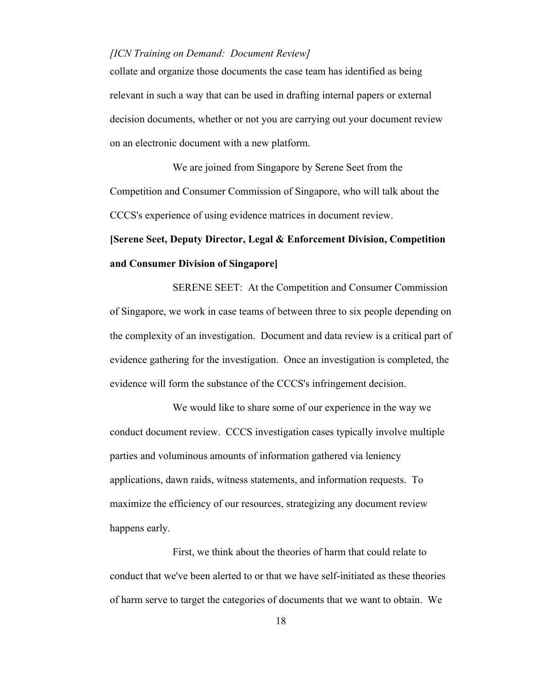collate and organize those documents the case team has identified as being relevant in such a way that can be used in drafting internal papers or external decision documents, whether or not you are carrying out your document review on an electronic document with a new platform.

We are joined from Singapore by Serene Seet from the Competition and Consumer Commission of Singapore, who will talk about the CCCS's experience of using evidence matrices in document review.

## **[Serene Seet, Deputy Director, Legal & Enforcement Division, Competition and Consumer Division of Singapore]**

SERENE SEET: At the Competition and Consumer Commission of Singapore, we work in case teams of between three to six people depending on the complexity of an investigation. Document and data review is a critical part of evidence gathering for the investigation. Once an investigation is completed, the evidence will form the substance of the CCCS's infringement decision.

We would like to share some of our experience in the way we conduct document review. CCCS investigation cases typically involve multiple parties and voluminous amounts of information gathered via leniency applications, dawn raids, witness statements, and information requests. To maximize the efficiency of our resources, strategizing any document review happens early.

First, we think about the theories of harm that could relate to conduct that we've been alerted to or that we have self-initiated as these theories of harm serve to target the categories of documents that we want to obtain. We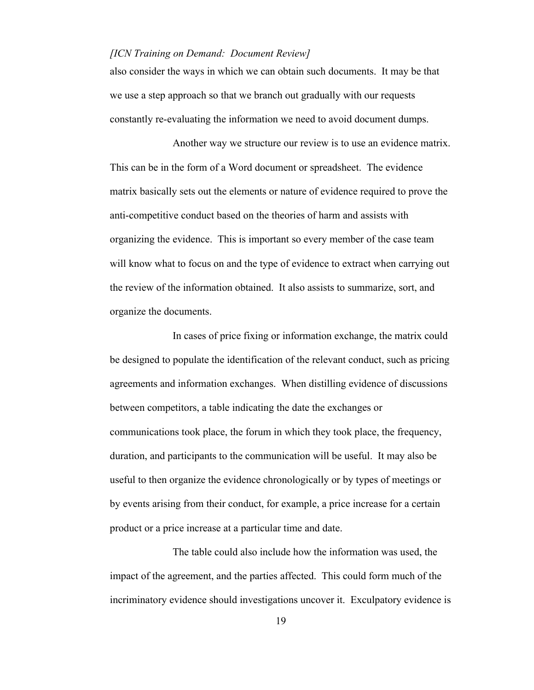also consider the ways in which we can obtain such documents. It may be that we use a step approach so that we branch out gradually with our requests constantly re-evaluating the information we need to avoid document dumps.

Another way we structure our review is to use an evidence matrix. This can be in the form of a Word document or spreadsheet. The evidence matrix basically sets out the elements or nature of evidence required to prove the anti-competitive conduct based on the theories of harm and assists with organizing the evidence. This is important so every member of the case team will know what to focus on and the type of evidence to extract when carrying out the review of the information obtained. It also assists to summarize, sort, and organize the documents.

In cases of price fixing or information exchange, the matrix could be designed to populate the identification of the relevant conduct, such as pricing agreements and information exchanges. When distilling evidence of discussions between competitors, a table indicating the date the exchanges or communications took place, the forum in which they took place, the frequency, duration, and participants to the communication will be useful. It may also be useful to then organize the evidence chronologically or by types of meetings or by events arising from their conduct, for example, a price increase for a certain product or a price increase at a particular time and date.

The table could also include how the information was used, the impact of the agreement, and the parties affected. This could form much of the incriminatory evidence should investigations uncover it. Exculpatory evidence is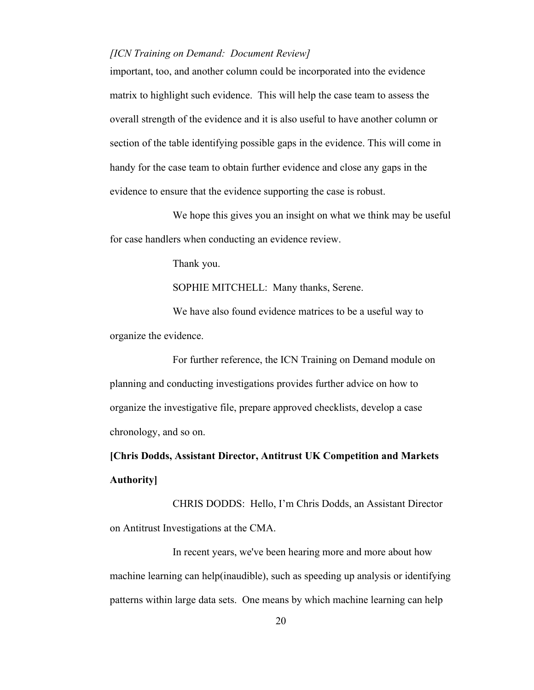important, too, and another column could be incorporated into the evidence matrix to highlight such evidence. This will help the case team to assess the overall strength of the evidence and it is also useful to have another column or section of the table identifying possible gaps in the evidence. This will come in handy for the case team to obtain further evidence and close any gaps in the evidence to ensure that the evidence supporting the case is robust.

We hope this gives you an insight on what we think may be useful for case handlers when conducting an evidence review.

Thank you.

SOPHIE MITCHELL: Many thanks, Serene.

We have also found evidence matrices to be a useful way to organize the evidence.

For further reference, the ICN Training on Demand module on planning and conducting investigations provides further advice on how to organize the investigative file, prepare approved checklists, develop a case chronology, and so on.

**[Chris Dodds, Assistant Director, Antitrust UK Competition and Markets Authority]**

CHRIS DODDS: Hello, I'm Chris Dodds, an Assistant Director on Antitrust Investigations at the CMA.

In recent years, we've been hearing more and more about how machine learning can help(inaudible), such as speeding up analysis or identifying patterns within large data sets. One means by which machine learning can help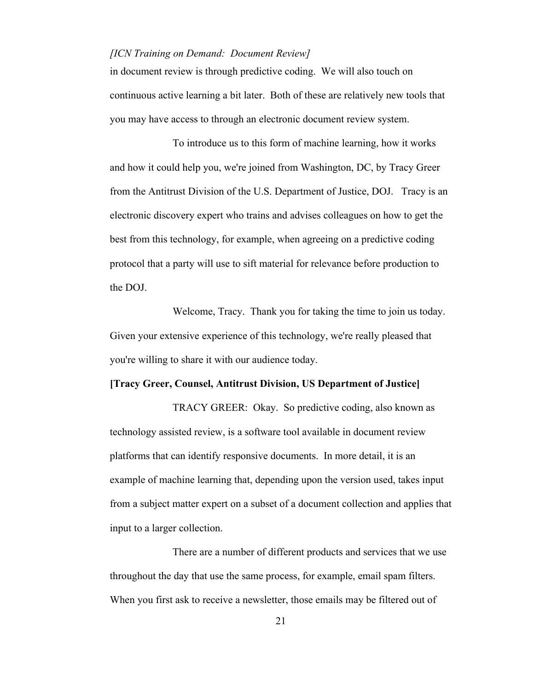in document review is through predictive coding. We will also touch on continuous active learning a bit later. Both of these are relatively new tools that you may have access to through an electronic document review system.

To introduce us to this form of machine learning, how it works and how it could help you, we're joined from Washington, DC, by Tracy Greer from the Antitrust Division of the U.S. Department of Justice, DOJ. Tracy is an electronic discovery expert who trains and advises colleagues on how to get the best from this technology, for example, when agreeing on a predictive coding protocol that a party will use to sift material for relevance before production to the DOJ.

Welcome, Tracy. Thank you for taking the time to join us today. Given your extensive experience of this technology, we're really pleased that you're willing to share it with our audience today.

## **[Tracy Greer, Counsel, Antitrust Division, US Department of Justice]**

TRACY GREER: Okay. So predictive coding, also known as technology assisted review, is a software tool available in document review platforms that can identify responsive documents. In more detail, it is an example of machine learning that, depending upon the version used, takes input from a subject matter expert on a subset of a document collection and applies that input to a larger collection.

There are a number of different products and services that we use throughout the day that use the same process, for example, email spam filters. When you first ask to receive a newsletter, those emails may be filtered out of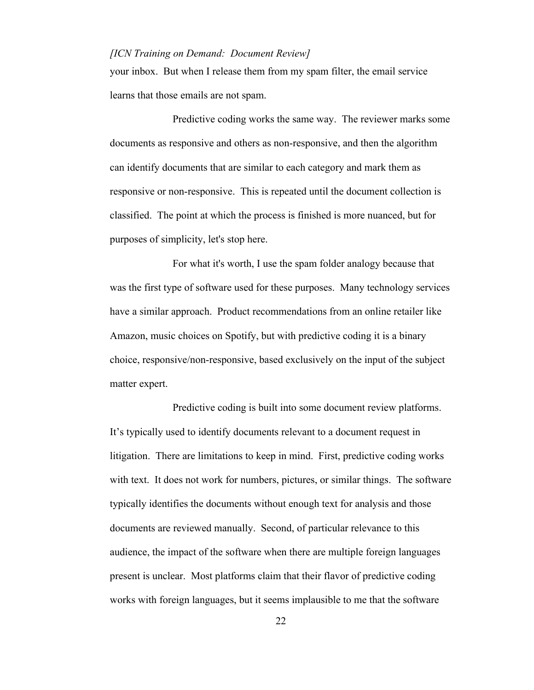your inbox. But when I release them from my spam filter, the email service learns that those emails are not spam.

Predictive coding works the same way. The reviewer marks some documents as responsive and others as non-responsive, and then the algorithm can identify documents that are similar to each category and mark them as responsive or non-responsive. This is repeated until the document collection is classified. The point at which the process is finished is more nuanced, but for purposes of simplicity, let's stop here.

For what it's worth, I use the spam folder analogy because that was the first type of software used for these purposes. Many technology services have a similar approach. Product recommendations from an online retailer like Amazon, music choices on Spotify, but with predictive coding it is a binary choice, responsive/non-responsive, based exclusively on the input of the subject matter expert.

Predictive coding is built into some document review platforms. It's typically used to identify documents relevant to a document request in litigation. There are limitations to keep in mind. First, predictive coding works with text. It does not work for numbers, pictures, or similar things. The software typically identifies the documents without enough text for analysis and those documents are reviewed manually. Second, of particular relevance to this audience, the impact of the software when there are multiple foreign languages present is unclear. Most platforms claim that their flavor of predictive coding works with foreign languages, but it seems implausible to me that the software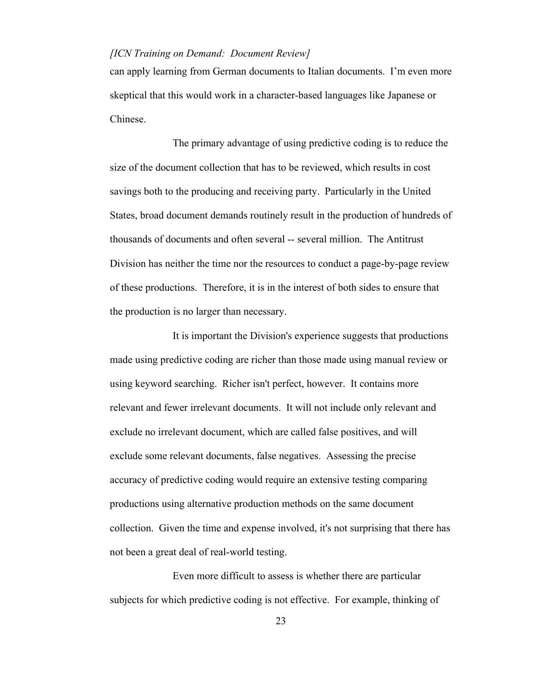can apply learning from German documents to Italian documents. I'm even more skeptical that this would work in a character-based languages like Japanese or Chinese.

The primary advantage of using predictive coding is to reduce the size of the document collection that has to be reviewed, which results in cost savings both to the producing and receiving party. Particularly in the United States, broad document demands routinely result in the production of hundreds of thousands of documents and often several -- several million. The Antitrust Division has neither the time nor the resources to conduct a page-by-page review of these productions. Therefore, it is in the interest of both sides to ensure that the production is no larger than necessary.

It is important the Division's experience suggests that productions made using predictive coding are richer than those made using manual review or using keyword searching. Richer isn't perfect, however. It contains more relevant and fewer irrelevant documents. It will not include only relevant and exclude no irrelevant document, which are called false positives, and will exclude some relevant documents, false negatives. Assessing the precise accuracy of predictive coding would require an extensive testing comparing productions using alternative production methods on the same document collection. Given the time and expense involved, it's not surprising that there has not been a great deal of real-world testing.

Even more difficult to assess is whether there are particular subjects for which predictive coding is not effective. For example, thinking of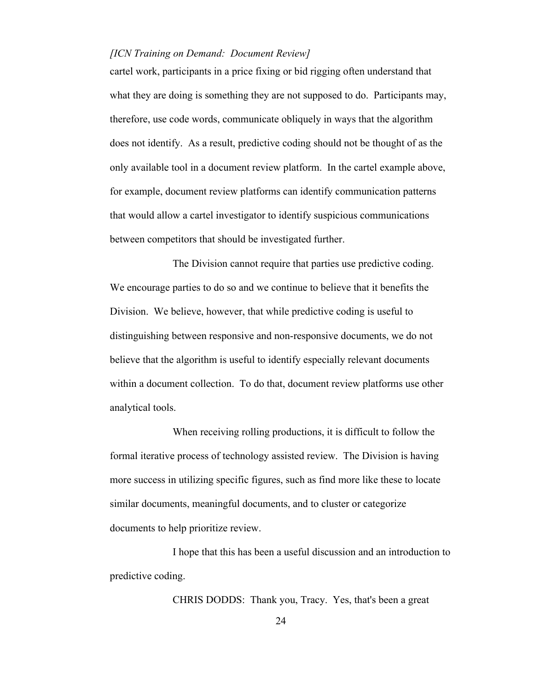cartel work, participants in a price fixing or bid rigging often understand that what they are doing is something they are not supposed to do. Participants may, therefore, use code words, communicate obliquely in ways that the algorithm does not identify. As a result, predictive coding should not be thought of as the only available tool in a document review platform. In the cartel example above, for example, document review platforms can identify communication patterns that would allow a cartel investigator to identify suspicious communications between competitors that should be investigated further.

The Division cannot require that parties use predictive coding. We encourage parties to do so and we continue to believe that it benefits the Division. We believe, however, that while predictive coding is useful to distinguishing between responsive and non-responsive documents, we do not believe that the algorithm is useful to identify especially relevant documents within a document collection. To do that, document review platforms use other analytical tools.

When receiving rolling productions, it is difficult to follow the formal iterative process of technology assisted review. The Division is having more success in utilizing specific figures, such as find more like these to locate similar documents, meaningful documents, and to cluster or categorize documents to help prioritize review.

I hope that this has been a useful discussion and an introduction to predictive coding.

CHRIS DODDS: Thank you, Tracy. Yes, that's been a great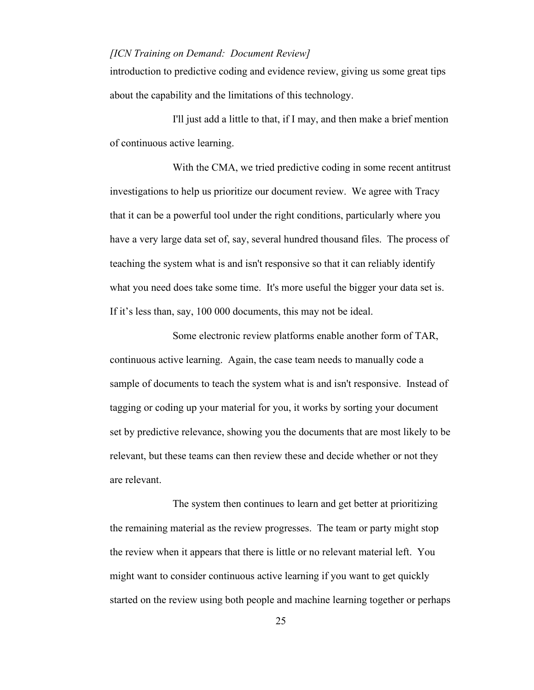introduction to predictive coding and evidence review, giving us some great tips about the capability and the limitations of this technology.

I'll just add a little to that, if I may, and then make a brief mention of continuous active learning.

With the CMA, we tried predictive coding in some recent antitrust investigations to help us prioritize our document review. We agree with Tracy that it can be a powerful tool under the right conditions, particularly where you have a very large data set of, say, several hundred thousand files. The process of teaching the system what is and isn't responsive so that it can reliably identify what you need does take some time. It's more useful the bigger your data set is. If it's less than, say, 100 000 documents, this may not be ideal.

Some electronic review platforms enable another form of TAR, continuous active learning. Again, the case team needs to manually code a sample of documents to teach the system what is and isn't responsive. Instead of tagging or coding up your material for you, it works by sorting your document set by predictive relevance, showing you the documents that are most likely to be relevant, but these teams can then review these and decide whether or not they are relevant.

The system then continues to learn and get better at prioritizing the remaining material as the review progresses. The team or party might stop the review when it appears that there is little or no relevant material left. You might want to consider continuous active learning if you want to get quickly started on the review using both people and machine learning together or perhaps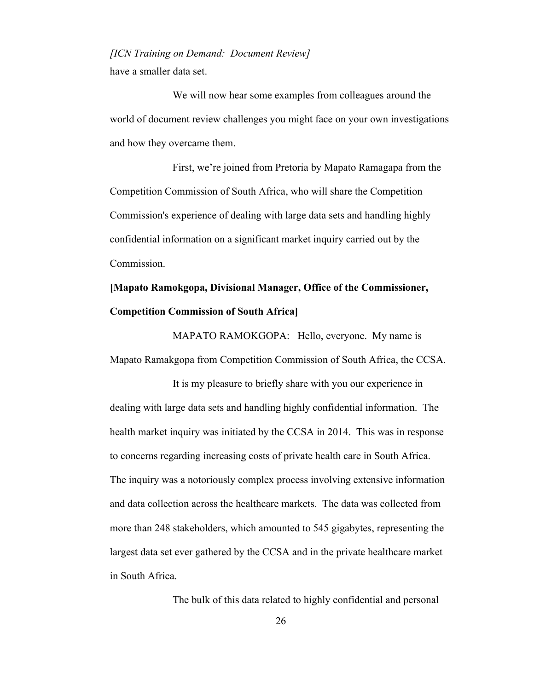have a smaller data set.

We will now hear some examples from colleagues around the world of document review challenges you might face on your own investigations and how they overcame them.

First, we're joined from Pretoria by Mapato Ramagapa from the Competition Commission of South Africa, who will share the Competition Commission's experience of dealing with large data sets and handling highly confidential information on a significant market inquiry carried out by the Commission.

## **[Mapato Ramokgopa, Divisional Manager, Office of the Commissioner, Competition Commission of South Africa]**

MAPATO RAMOKGOPA: Hello, everyone. My name is Mapato Ramakgopa from Competition Commission of South Africa, the CCSA.

It is my pleasure to briefly share with you our experience in dealing with large data sets and handling highly confidential information. The health market inquiry was initiated by the CCSA in 2014. This was in response to concerns regarding increasing costs of private health care in South Africa. The inquiry was a notoriously complex process involving extensive information and data collection across the healthcare markets. The data was collected from more than 248 stakeholders, which amounted to 545 gigabytes, representing the largest data set ever gathered by the CCSA and in the private healthcare market in South Africa.

The bulk of this data related to highly confidential and personal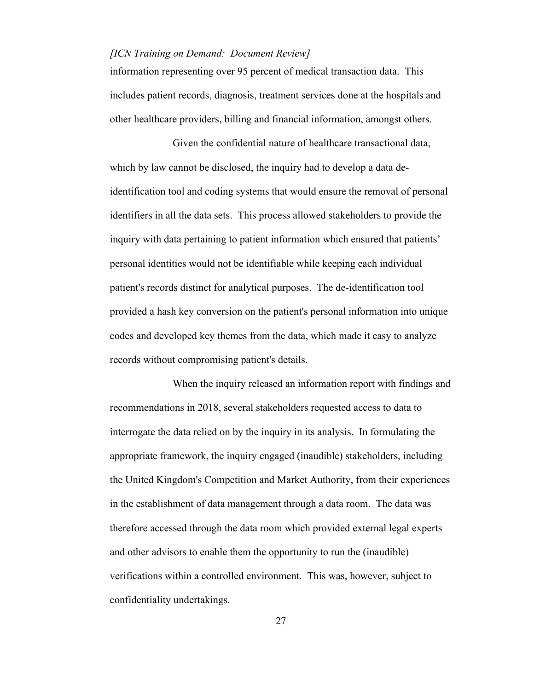information representing over 95 percent of medical transaction data. This includes patient records, diagnosis, treatment services done at the hospitals and other healthcare providers, billing and financial information, amongst others.

Given the confidential nature of healthcare transactional data, which by law cannot be disclosed, the inquiry had to develop a data deidentification tool and coding systems that would ensure the removal of personal identifiers in all the data sets. This process allowed stakeholders to provide the inquiry with data pertaining to patient information which ensured that patients' personal identities would not be identifiable while keeping each individual patient's records distinct for analytical purposes. The de-identification tool provided a hash key conversion on the patient's personal information into unique codes and developed key themes from the data, which made it easy to analyze records without compromising patient's details.

When the inquiry released an information report with findings and recommendations in 2018, several stakeholders requested access to data to interrogate the data relied on by the inquiry in its analysis. In formulating the appropriate framework, the inquiry engaged (inaudible) stakeholders, including the United Kingdom's Competition and Market Authority, from their experiences in the establishment of data management through a data room. The data was therefore accessed through the data room which provided external legal experts and other advisors to enable them the opportunity to run the (inaudible) verifications within a controlled environment. This was, however, subject to confidentiality undertakings.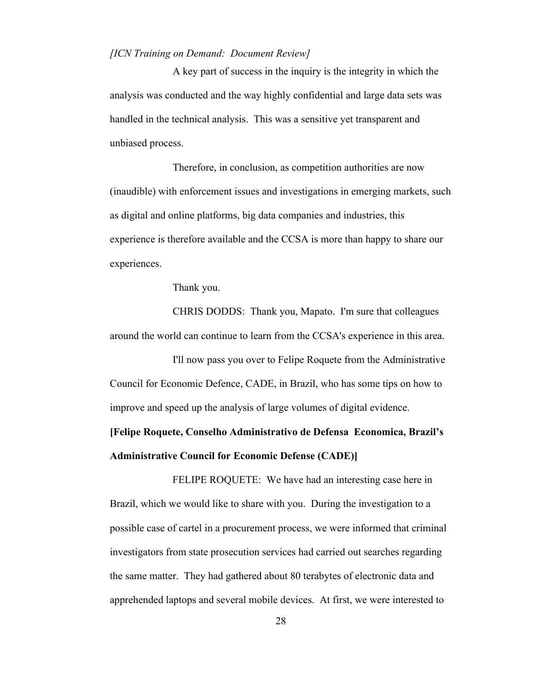A key part of success in the inquiry is the integrity in which the analysis was conducted and the way highly confidential and large data sets was handled in the technical analysis. This was a sensitive yet transparent and unbiased process.

Therefore, in conclusion, as competition authorities are now (inaudible) with enforcement issues and investigations in emerging markets, such as digital and online platforms, big data companies and industries, this experience is therefore available and the CCSA is more than happy to share our experiences.

Thank you.

CHRIS DODDS: Thank you, Mapato. I'm sure that colleagues around the world can continue to learn from the CCSA's experience in this area.

I'll now pass you over to Felipe Roquete from the Administrative Council for Economic Defence, CADE, in Brazil, who has some tips on how to improve and speed up the analysis of large volumes of digital evidence.

## **[Felipe Roquete, Conselho Administrativo de Defensa Economica, Brazil's Administrative Council for Economic Defense (CADE)]**

FELIPE ROQUETE: We have had an interesting case here in Brazil, which we would like to share with you. During the investigation to a possible case of cartel in a procurement process, we were informed that criminal investigators from state prosecution services had carried out searches regarding the same matter. They had gathered about 80 terabytes of electronic data and apprehended laptops and several mobile devices. At first, we were interested to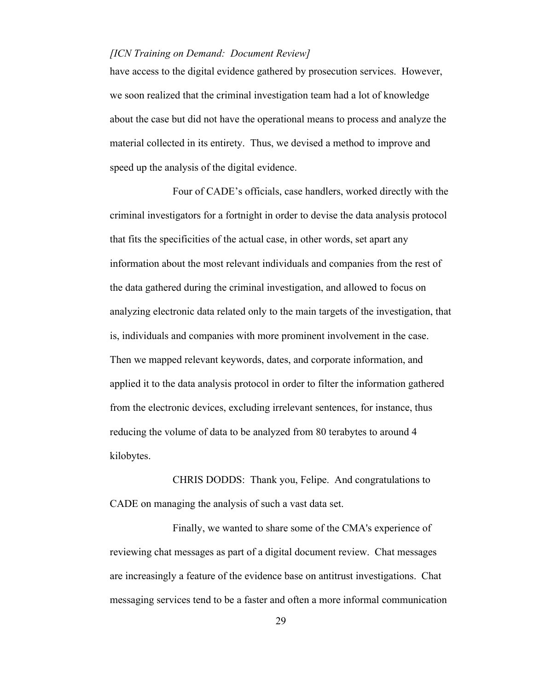have access to the digital evidence gathered by prosecution services. However, we soon realized that the criminal investigation team had a lot of knowledge about the case but did not have the operational means to process and analyze the material collected in its entirety. Thus, we devised a method to improve and speed up the analysis of the digital evidence.

Four of CADE's officials, case handlers, worked directly with the criminal investigators for a fortnight in order to devise the data analysis protocol that fits the specificities of the actual case, in other words, set apart any information about the most relevant individuals and companies from the rest of the data gathered during the criminal investigation, and allowed to focus on analyzing electronic data related only to the main targets of the investigation, that is, individuals and companies with more prominent involvement in the case. Then we mapped relevant keywords, dates, and corporate information, and applied it to the data analysis protocol in order to filter the information gathered from the electronic devices, excluding irrelevant sentences, for instance, thus reducing the volume of data to be analyzed from 80 terabytes to around 4 kilobytes.

CHRIS DODDS: Thank you, Felipe. And congratulations to CADE on managing the analysis of such a vast data set.

Finally, we wanted to share some of the CMA's experience of reviewing chat messages as part of a digital document review. Chat messages are increasingly a feature of the evidence base on antitrust investigations. Chat messaging services tend to be a faster and often a more informal communication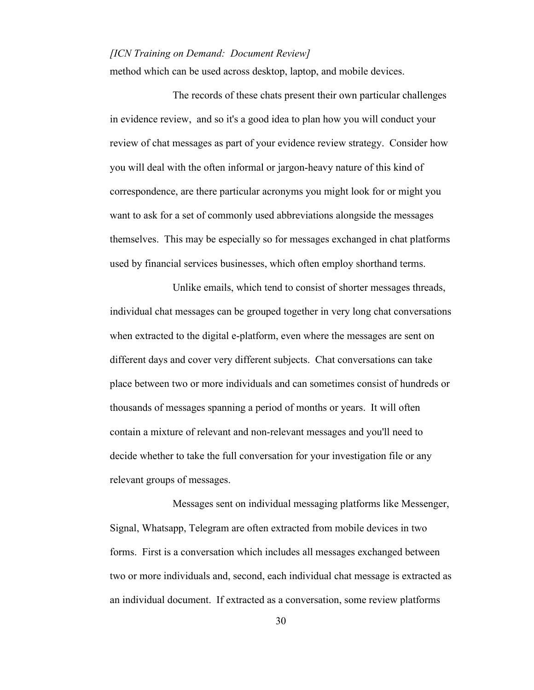method which can be used across desktop, laptop, and mobile devices.

The records of these chats present their own particular challenges in evidence review, and so it's a good idea to plan how you will conduct your review of chat messages as part of your evidence review strategy. Consider how you will deal with the often informal or jargon-heavy nature of this kind of correspondence, are there particular acronyms you might look for or might you want to ask for a set of commonly used abbreviations alongside the messages themselves. This may be especially so for messages exchanged in chat platforms used by financial services businesses, which often employ shorthand terms.

Unlike emails, which tend to consist of shorter messages threads, individual chat messages can be grouped together in very long chat conversations when extracted to the digital e-platform, even where the messages are sent on different days and cover very different subjects. Chat conversations can take place between two or more individuals and can sometimes consist of hundreds or thousands of messages spanning a period of months or years. It will often contain a mixture of relevant and non-relevant messages and you'll need to decide whether to take the full conversation for your investigation file or any relevant groups of messages.

Messages sent on individual messaging platforms like Messenger, Signal, Whatsapp, Telegram are often extracted from mobile devices in two forms. First is a conversation which includes all messages exchanged between two or more individuals and, second, each individual chat message is extracted as an individual document. If extracted as a conversation, some review platforms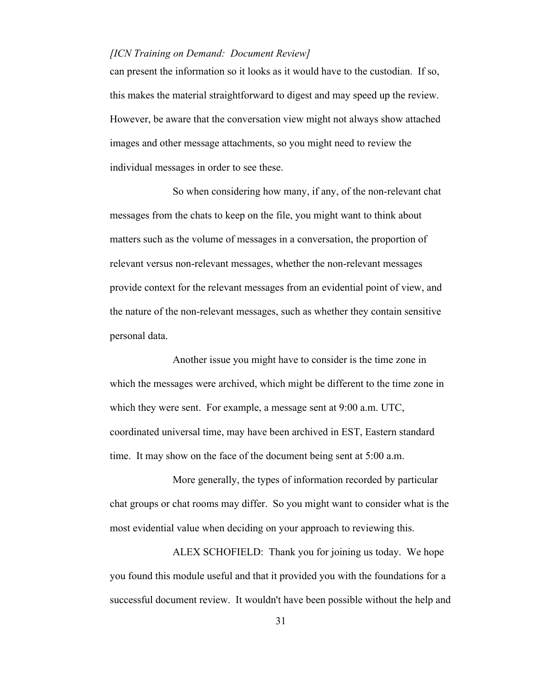can present the information so it looks as it would have to the custodian. If so, this makes the material straightforward to digest and may speed up the review. However, be aware that the conversation view might not always show attached images and other message attachments, so you might need to review the individual messages in order to see these.

So when considering how many, if any, of the non-relevant chat messages from the chats to keep on the file, you might want to think about matters such as the volume of messages in a conversation, the proportion of relevant versus non-relevant messages, whether the non-relevant messages provide context for the relevant messages from an evidential point of view, and the nature of the non-relevant messages, such as whether they contain sensitive personal data.

Another issue you might have to consider is the time zone in which the messages were archived, which might be different to the time zone in which they were sent. For example, a message sent at 9:00 a.m. UTC, coordinated universal time, may have been archived in EST, Eastern standard time. It may show on the face of the document being sent at 5:00 a.m.

More generally, the types of information recorded by particular chat groups or chat rooms may differ. So you might want to consider what is the most evidential value when deciding on your approach to reviewing this.

ALEX SCHOFIELD: Thank you for joining us today. We hope you found this module useful and that it provided you with the foundations for a successful document review. It wouldn't have been possible without the help and